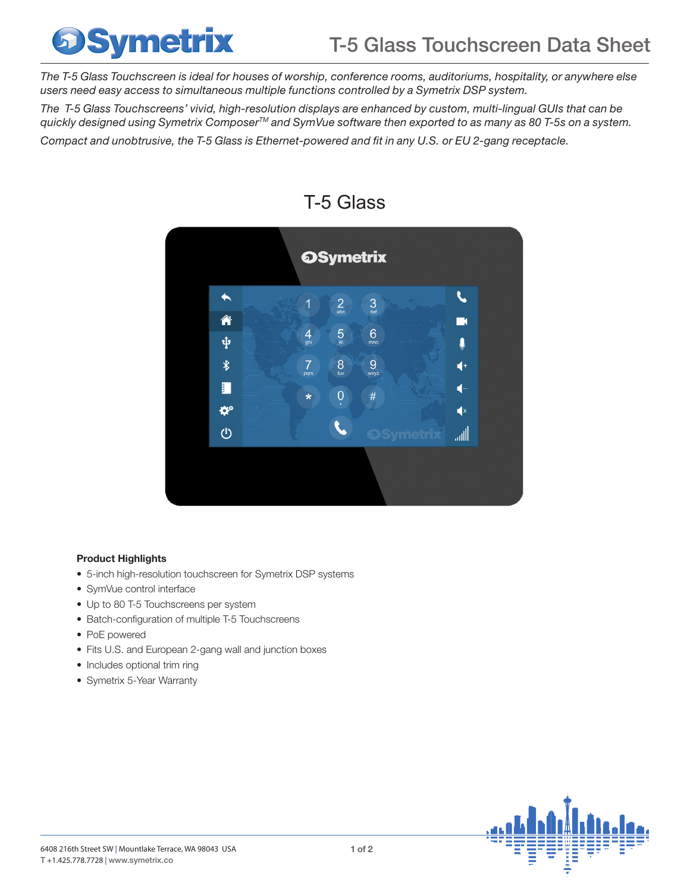## **Symetrix**

*The T-5 Glass Touchscreen is ideal for houses of worship, conference rooms, auditoriums, hospitality, or anywhere else users need easy access to simultaneous multiple functions controlled by a Symetrix DSP system.* 

*The T-5 Glass Touchscreens' vivid, high-resolution displays are enhanced by custom, multi-lingual GUIs that can be quickly designed using Symetrix ComposerTM and SymVue software then exported to as many as 80 T-5s on a system.* 

*Compact and unobtrusive, the T-5 Glass is Ethernet-powered and fit in any U.S. or EU 2-gang receptacle.* 



### T-5 Glass

### Product Highlights

- 5-inch high-resolution touchscreen for Symetrix DSP systems
- SymVue control interface
- Up to 80 T-5 Touchscreens per system
- Batch-configuration of multiple T-5 Touchscreens
- PoE powered
- Fits U.S. and European 2-gang wall and junction boxes
- Includes optional trim ring
- Symetrix 5-Year Warranty